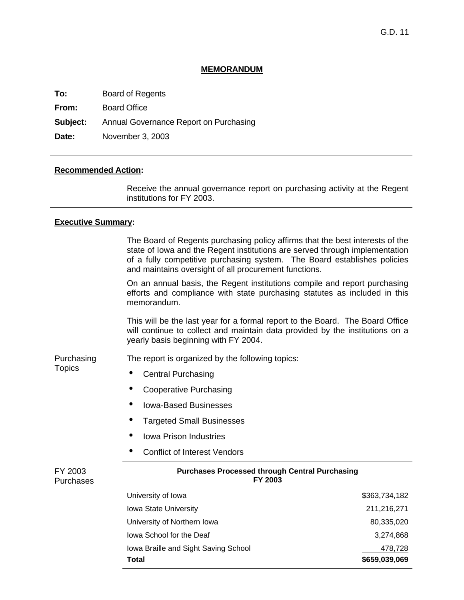### **MEMORANDUM**

**To:** Board of Regents

**From:** Board Office

**Subject:** Annual Governance Report on Purchasing

**Date:** November 3, 2003

### **Recommended Action:**

 Receive the annual governance report on purchasing activity at the Regent institutions for FY 2003.

### **Executive Summary:**

| The Board of Regents purchasing policy affirms that the best interests of the |  |
|-------------------------------------------------------------------------------|--|
| state of lowa and the Regent institutions are served through implementation   |  |
| of a fully competitive purchasing system. The Board establishes policies      |  |
| and maintains oversight of all procurement functions.                         |  |

On an annual basis, the Regent institutions compile and report purchasing efforts and compliance with state purchasing statutes as included in this memorandum.

This will be the last year for a formal report to the Board. The Board Office will continue to collect and maintain data provided by the institutions on a yearly basis beginning with FY 2004.

Purchasing The report is organized by the following topics:

**Topics** 

• Central Purchasing

- Cooperative Purchasing
- Iowa-Based Businesses
- Targeted Small Businesses
- Iowa Prison Industries
- Conflict of Interest Vendors

| FY 2003<br><b>Purchases</b> | <b>Purchases Processed through Central Purchasing</b><br>FY 2003 |               |  |  |  |
|-----------------------------|------------------------------------------------------------------|---------------|--|--|--|
|                             | University of Iowa                                               | \$363,734,182 |  |  |  |
|                             | Iowa State University                                            | 211,216,271   |  |  |  |
|                             | University of Northern Iowa                                      | 80,335,020    |  |  |  |
|                             | lowa School for the Deaf                                         | 3,274,868     |  |  |  |
|                             | Iowa Braille and Sight Saving School                             | 478,728       |  |  |  |
|                             | Total                                                            | \$659,039,069 |  |  |  |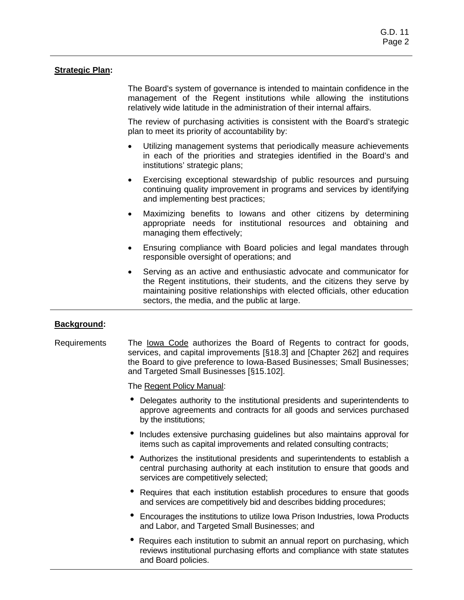# **Strategic Plan:**

 The Board's system of governance is intended to maintain confidence in the management of the Regent institutions while allowing the institutions relatively wide latitude in the administration of their internal affairs.

The review of purchasing activities is consistent with the Board's strategic plan to meet its priority of accountability by:

- Utilizing management systems that periodically measure achievements in each of the priorities and strategies identified in the Board's and institutions' strategic plans;
- Exercising exceptional stewardship of public resources and pursuing continuing quality improvement in programs and services by identifying and implementing best practices;
- Maximizing benefits to lowans and other citizens by determining appropriate needs for institutional resources and obtaining and managing them effectively;
- Ensuring compliance with Board policies and legal mandates through responsible oversight of operations; and
- Serving as an active and enthusiastic advocate and communicator for the Regent institutions, their students, and the citizens they serve by maintaining positive relationships with elected officials, other education sectors, the media, and the public at large.

# **Background:**

The Iowa Code authorizes the Board of Regents to contract for goods, services, and capital improvements [§18.3] and [Chapter 262] and requires the Board to give preference to Iowa-Based Businesses; Small Businesses; and Targeted Small Businesses [§15.102]. Requirements

The Regent Policy Manual:

- Delegates authority to the institutional presidents and superintendents to approve agreements and contracts for all goods and services purchased by the institutions;
- Includes extensive purchasing guidelines but also maintains approval for items such as capital improvements and related consulting contracts;
- Authorizes the institutional presidents and superintendents to establish a central purchasing authority at each institution to ensure that goods and services are competitively selected;
- Requires that each institution establish procedures to ensure that goods and services are competitively bid and describes bidding procedures;
- Encourages the institutions to utilize Iowa Prison Industries, Iowa Products and Labor, and Targeted Small Businesses; and
- Requires each institution to submit an annual report on purchasing, which reviews institutional purchasing efforts and compliance with state statutes and Board policies.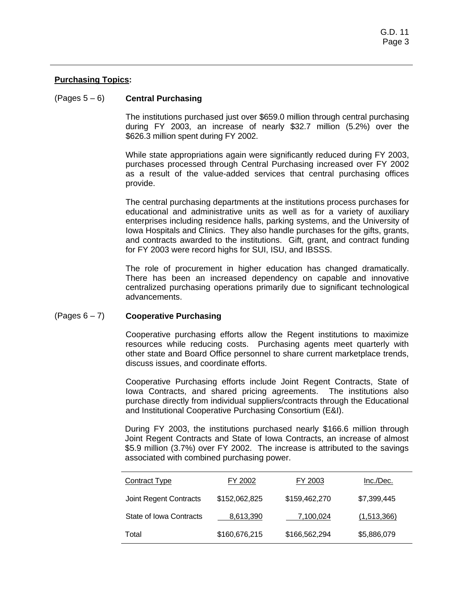# **Purchasing Topics:**

# (Pages 5 – 6) **Central Purchasing**

The institutions purchased just over \$659.0 million through central purchasing during FY 2003, an increase of nearly \$32.7 million (5.2%) over the \$626.3 million spent during FY 2002.

While state appropriations again were significantly reduced during FY 2003, purchases processed through Central Purchasing increased over FY 2002 as a result of the value-added services that central purchasing offices provide.

The central purchasing departments at the institutions process purchases for educational and administrative units as well as for a variety of auxiliary enterprises including residence halls, parking systems, and the University of Iowa Hospitals and Clinics. They also handle purchases for the gifts, grants, and contracts awarded to the institutions. Gift, grant, and contract funding for FY 2003 were record highs for SUI, ISU, and IBSSS.

The role of procurement in higher education has changed dramatically. There has been an increased dependency on capable and innovative centralized purchasing operations primarily due to significant technological advancements.

#### **Cooperative Purchasing**  (Pages 6 – 7)

Cooperative purchasing efforts allow the Regent institutions to maximize resources while reducing costs. Purchasing agents meet quarterly with other state and Board Office personnel to share current marketplace trends, discuss issues, and coordinate efforts.

Cooperative Purchasing efforts include Joint Regent Contracts, State of Iowa Contracts, and shared pricing agreements. The institutions also purchase directly from individual suppliers/contracts through the Educational and Institutional Cooperative Purchasing Consortium (E&I).

During FY 2003, the institutions purchased nearly \$166.6 million through Joint Regent Contracts and State of Iowa Contracts, an increase of almost \$5.9 million (3.7%) over FY 2002. The increase is attributed to the savings associated with combined purchasing power.

| Contract Type                 | FY 2002       | FY 2003       | Inc./Dec.   |
|-------------------------------|---------------|---------------|-------------|
| <b>Joint Regent Contracts</b> | \$152,062,825 | \$159,462,270 | \$7,399,445 |
| State of Iowa Contracts       | 8.613.390     | 7,100,024     | (1,513,366) |
| Total                         | \$160,676,215 | \$166,562,294 | \$5,886,079 |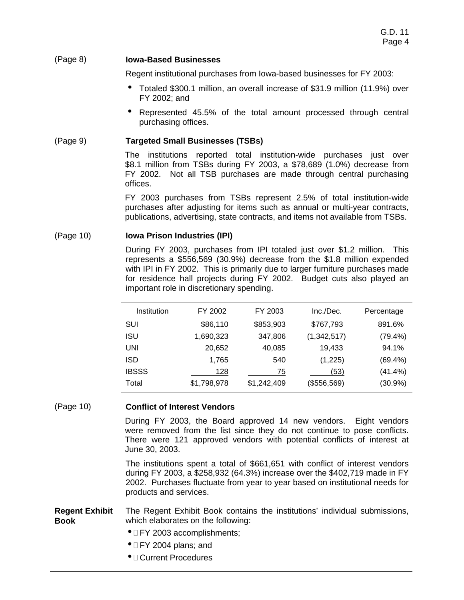### (Page 8) **Iowa-Based Businesses**

Regent institutional purchases from Iowa-based businesses for FY 2003:

- Totaled \$300.1 million, an overall increase of \$31.9 million (11.9%) over FY 2002; and
- Represented 45.5% of the total amount processed through central purchasing offices.

# (Page 9) **Targeted Small Businesses (TSBs)**

The institutions reported total institution-wide purchases just over \$8.1 million from TSBs during FY 2003, a \$78,689 (1.0%) decrease from FY 2002. Not all TSB purchases are made through central purchasing offices.

FY 2003 purchases from TSBs represent 2.5% of total institution-wide purchases after adjusting for items such as annual or multi-year contracts, publications, advertising, state contracts, and items not available from TSBs.

#### **Iowa Prison Industries (IPI)** (Page 10)

During FY 2003, purchases from IPI totaled just over \$1.2 million. This represents a \$556,569 (30.9%) decrease from the \$1.8 million expended with IPI in FY 2002. This is primarily due to larger furniture purchases made for residence hall projects during FY 2002. Budget cuts also played an important role in discretionary spending.

| Institution  | FY 2002     | FY 2003     | Inc./Dec.   | <b>Percentage</b> |
|--------------|-------------|-------------|-------------|-------------------|
| SUI          | \$86,110    | \$853,903   | \$767,793   | 891.6%            |
| ISU          | 1,690,323   | 347,806     | (1,342,517) | (79.4%)           |
| UNI          | 20,652      | 40,085      | 19,433      | 94.1%             |
| ISD          | 1.765       | 540         | (1,225)     | $(69.4\%)$        |
| <b>IBSSS</b> | 128         | 75          | (53)        | $(41.4\%)$        |
| Total        | \$1,798,978 | \$1,242,409 | (\$556,569) | $(30.9\%)$        |

# (Page 10) **Conflict of Interest Vendors**

During FY 2003, the Board approved 14 new vendors. Eight vendors were removed from the list since they do not continue to pose conflicts. There were 121 approved vendors with potential conflicts of interest at June 30, 2003.

The institutions spent a total of \$661,651 with conflict of interest vendors during FY 2003, a \$258,932 (64.3%) increase over the \$402,719 made in FY 2002. Purchases fluctuate from year to year based on institutional needs for products and services.

#### **Regent Exhibit Book**  The Regent Exhibit Book contains the institutions' individual submissions, which elaborates on the following:

- IFY 2003 accomplishments;
- $\bullet$   $\Box$  FY 2004 plans; and
- Current Procedures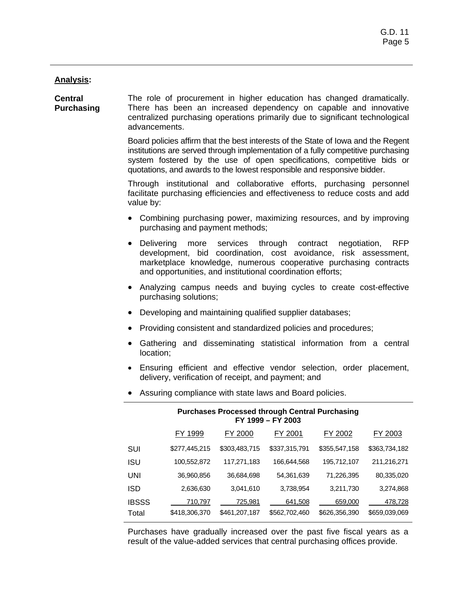### **Analysis:**

The role of procurement in higher education has changed dramatically. There has been an increased dependency on capable and innovative centralized purchasing operations primarily due to significant technological advancements. **Central Purchasing** 

> Board policies affirm that the best interests of the State of Iowa and the Regent institutions are served through implementation of a fully competitive purchasing system fostered by the use of open specifications, competitive bids or quotations, and awards to the lowest responsible and responsive bidder.

> Through institutional and collaborative efforts, purchasing personnel facilitate purchasing efficiencies and effectiveness to reduce costs and add value by:

- Combining purchasing power, maximizing resources, and by improving purchasing and payment methods;
- Delivering more services through contract negotiation, RFP development, bid coordination, cost avoidance, risk assessment, marketplace knowledge, numerous cooperative purchasing contracts and opportunities, and institutional coordination efforts;
- Analyzing campus needs and buying cycles to create cost-effective purchasing solutions;
- Developing and maintaining qualified supplier databases;
- Providing consistent and standardized policies and procedures;
- Gathering and disseminating statistical information from a central location;
- Ensuring efficient and effective vendor selection, order placement, delivery, verification of receipt, and payment; and
- Assuring compliance with state laws and Board policies.

| <b>Purchases Processed through Central Purchasing</b><br>FY 1999 - FY 2003 |               |               |               |               |                |  |
|----------------------------------------------------------------------------|---------------|---------------|---------------|---------------|----------------|--|
|                                                                            | FY 1999       | FY 2000       | FY 2001       | FY 2002       | <u>FY 2003</u> |  |
| SUI                                                                        | \$277,445,215 | \$303,483,715 | \$337,315,791 | \$355,547,158 | \$363,734,182  |  |
| <b>ISU</b>                                                                 | 100,552,872   | 117,271,183   | 166,644,568   | 195,712,107   | 211,216,271    |  |
| UNI                                                                        | 36,960,856    | 36,684,698    | 54,361,639    | 71,226,395    | 80,335,020     |  |
| ISD                                                                        | 2,636,630     | 3,041,610     | 3,738,954     | 3,211,730     | 3,274,868      |  |
| <b>IBSSS</b>                                                               | 710,797       | 725,981       | 641,508       | 659,000       | 478,728        |  |
| Total                                                                      | \$418,306,370 | \$461,207,187 | \$562,702,460 | \$626,356,390 | \$659,039,069  |  |

Purchases have gradually increased over the past five fiscal years as a result of the value-added services that central purchasing offices provide.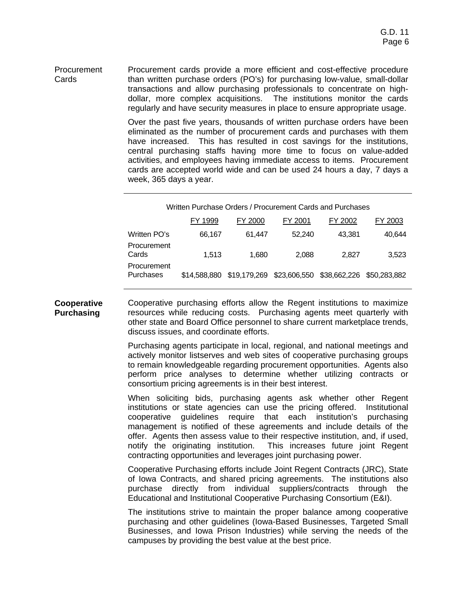Procurement cards provide a more efficient and cost-effective procedure than written purchase orders (PO's) for purchasing low-value, small-dollar transactions and allow purchasing professionals to concentrate on highdollar, more complex acquisitions. The institutions monitor the cards regularly and have security measures in place to ensure appropriate usage. Procurement **Cards** 

> Over the past five years, thousands of written purchase orders have been eliminated as the number of procurement cards and purchases with them have increased. This has resulted in cost savings for the institutions, central purchasing staffs having more time to focus on value-added activities, and employees having immediate access to items. Procurement cards are accepted world wide and can be used 24 hours a day, 7 days a week, 365 days a year.

|                          | FY 1999      | FY 2000      | FY 2001                                | FY 2002 | FY 2003 |
|--------------------------|--------------|--------------|----------------------------------------|---------|---------|
| Written PO's             | 66,167       | 61.447       | 52,240                                 | 43.381  | 40,644  |
| Procurement<br>Cards     | 1.513        | 1.680        | 2.088                                  | 2.827   | 3,523   |
| Procurement<br>Purchases | \$14,588,880 | \$19,179,269 | \$23,606,550 \$38,662,226 \$50,283,882 |         |         |

**Cooperative Purchasing** Cooperative purchasing efforts allow the Regent institutions to maximize resources while reducing costs. Purchasing agents meet quarterly with other state and Board Office personnel to share current marketplace trends, discuss issues, and coordinate efforts.

> Purchasing agents participate in local, regional, and national meetings and actively monitor listserves and web sites of cooperative purchasing groups to remain knowledgeable regarding procurement opportunities. Agents also perform price analyses to determine whether utilizing contracts or consortium pricing agreements is in their best interest.

> When soliciting bids, purchasing agents ask whether other Regent institutions or state agencies can use the pricing offered. Institutional cooperative guidelines require that each institution's purchasing management is notified of these agreements and include details of the offer. Agents then assess value to their respective institution, and, if used, notify the originating institution. This increases future joint Regent contracting opportunities and leverages joint purchasing power.

> Cooperative Purchasing efforts include Joint Regent Contracts (JRC), State of Iowa Contracts, and shared pricing agreements. The institutions also purchase directly from individual suppliers/contracts through the Educational and Institutional Cooperative Purchasing Consortium (E&I).

> The institutions strive to maintain the proper balance among cooperative purchasing and other guidelines (Iowa-Based Businesses, Targeted Small Businesses, and Iowa Prison Industries) while serving the needs of the campuses by providing the best value at the best price.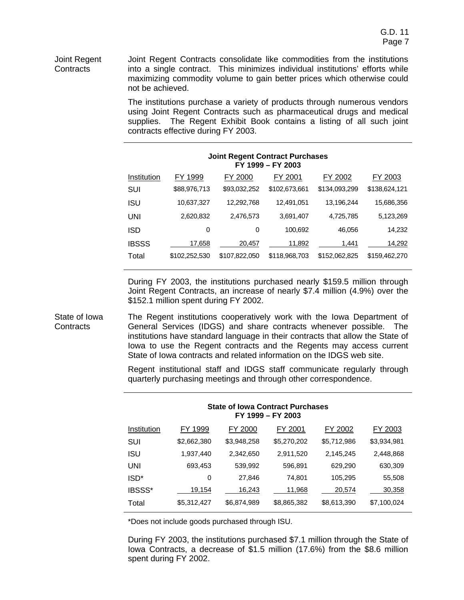#### Joint Regent Contracts consolidate like commodities from the institutions into a single contract. This minimizes individual institutions' efforts while maximizing commodity volume to gain better prices which otherwise could not be achieved. Joint Regent **Contracts**

The institutions purchase a variety of products through numerous vendors using Joint Regent Contracts such as pharmaceutical drugs and medical supplies. The Regent Exhibit Book contains a listing of all such joint contracts effective during FY 2003.

| <b>Joint Regent Contract Purchases</b><br>FY 1999 - FY 2003 |               |               |               |               |               |  |  |
|-------------------------------------------------------------|---------------|---------------|---------------|---------------|---------------|--|--|
| Institution                                                 | FY 1999       | FY 2000       | FY 2001       | FY 2002       | FY 2003       |  |  |
| SUI                                                         | \$88,976,713  | \$93,032,252  | \$102,673,661 | \$134,093,299 | \$138,624,121 |  |  |
| isu                                                         | 10,637,327    | 12,292,768    | 12.491.051    | 13,196,244    | 15,686,356    |  |  |
| UNI                                                         | 2,620,832     | 2,476,573     | 3,691,407     | 4,725,785     | 5,123,269     |  |  |
| ISD                                                         | 0             | 0             | 100.692       | 46.056        | 14,232        |  |  |
| <b>IBSSS</b>                                                | 17,658        | 20,457        | 11,892        | 1,441         | 14,292        |  |  |
| Total                                                       | \$102,252,530 | \$107,822,050 | \$118,968,703 | \$152,062,825 | \$159,462,270 |  |  |

During FY 2003, the institutions purchased nearly \$159.5 million through Joint Regent Contracts, an increase of nearly \$7.4 million (4.9%) over the \$152.1 million spent during FY 2002.

The Regent institutions cooperatively work with the Iowa Department of General Services (IDGS) and share contracts whenever possible. The institutions have standard language in their contracts that allow the State of Iowa to use the Regent contracts and the Regents may access current State of Iowa contracts and related information on the IDGS web site. State of Iowa **Contracts** 

> Regent institutional staff and IDGS staff communicate regularly through quarterly purchasing meetings and through other correspondence.

> > **State of Iowa Contract Purchases**

| FY 1999 - FY 2003 |             |             |             |             |             |  |
|-------------------|-------------|-------------|-------------|-------------|-------------|--|
| Institution       | FY 1999     | FY 2000     | FY 2001     | FY 2002     | FY 2003     |  |
| SUI               | \$2,662,380 | \$3,948,258 | \$5,270,202 | \$5,712,986 | \$3,934,981 |  |
| ISU               | 1,937,440   | 2,342,650   | 2,911,520   | 2,145,245   | 2,448,868   |  |
| UNI               | 693,453     | 539,992     | 596,891     | 629,290     | 630,309     |  |
| ISD*              | 0           | 27,846      | 74,801      | 105,295     | 55,508      |  |
| IBSSS*            | 19,154      | 16,243      | 11,968      | 20,574      | 30,358      |  |
| Total             | \$5,312,427 | \$6,874,989 | \$8,865,382 | \$8,613,390 | \$7,100,024 |  |

\*Does not include goods purchased through ISU.

During FY 2003, the institutions purchased \$7.1 million through the State of Iowa Contracts, a decrease of \$1.5 million (17.6%) from the \$8.6 million spent during FY 2002.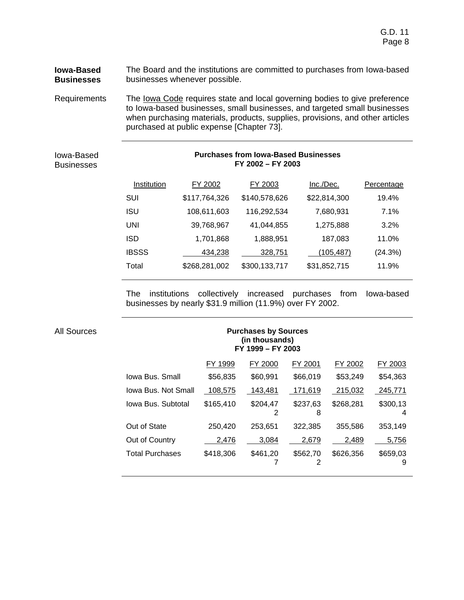#### **Iowa-Based Businesses** The Board and the institutions are committed to purchases from Iowa-based businesses whenever possible.

Requirements The lowa Code requires state and local governing bodies to give preference to Iowa-based businesses, small businesses, and targeted small businesses when purchasing materials, products, supplies, provisions, and other articles purchased at public expense [Chapter 73].

# Iowa-Based **Businesses**

# **Purchases from Iowa-Based Businesses FY 2002 – FY 2003**

| FY 2002       | FY 2003       | Inc./Dec.    | Percentage |
|---------------|---------------|--------------|------------|
| \$117,764,326 | \$140,578,626 | \$22,814,300 | 19.4%      |
| 108,611,603   | 116,292,534   | 7,680,931    | 7.1%       |
| 39,768,967    | 41,044,855    | 1,275,888    | 3.2%       |
| 1,701,868     | 1,888,951     | 187,083      | 11.0%      |
| 434,238       | 328,751       | (105,487)    | (24.3%)    |
| \$268,281,002 | \$300,133,717 | \$31,852,715 | 11.9%      |
|               |               |              |            |

The institutions collectively increased purchases from Iowa-based businesses by nearly \$31.9 million (11.9%) over FY 2002.

| <b>Purchases by Sources</b><br>(in thousands)<br>FY 1999 - FY 2003 |           |               |               |           |               |
|--------------------------------------------------------------------|-----------|---------------|---------------|-----------|---------------|
|                                                                    | FY 1999   | FY 2000       | FY 2001       | FY 2002   | FY 2003       |
| Iowa Bus, Small                                                    | \$56,835  | \$60,991      | \$66,019      | \$53,249  | \$54,363      |
| Iowa Bus, Not Small                                                | 108,575   | 143,481       | 171,619       | 215,032   | 245,771       |
| Iowa Bus. Subtotal                                                 | \$165,410 | \$204,47<br>2 | \$237,63<br>8 | \$268,281 | \$300,13<br>4 |
| Out of State                                                       | 250,420   | 253,651       | 322,385       | 355,586   | 353,149       |
| Out of Country                                                     | 2,476     | 3,084         | 2,679         | 2,489     | 5,756         |
| Total Purchases                                                    | \$418,306 | \$461,20      | \$562,70<br>2 | \$626,356 | \$659,03<br>9 |

#### All Sources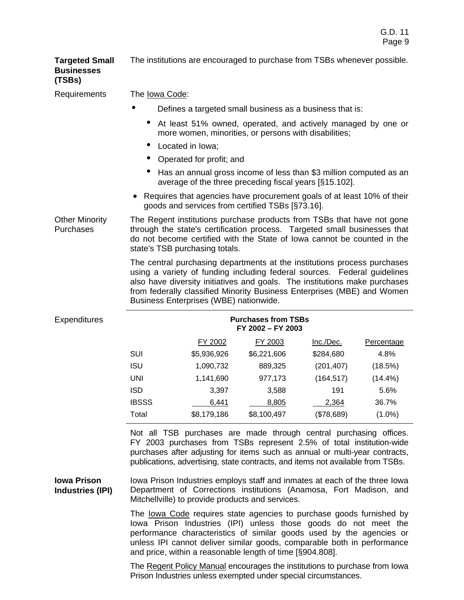**Targeted Small Businesses (TSBs)**  The institutions are encouraged to purchase from TSBs whenever possible.

Requirements The Iowa Code:

- Defines a targeted small business as a business that is:
	- At least 51% owned, operated, and actively managed by one or more women, minorities, or persons with disabilities;
	- Located in Iowa;
	- Operated for profit; and
	- Has an annual gross income of less than \$3 million computed as an average of the three preceding fiscal years [§15.102].
- Requires that agencies have procurement goals of at least 10% of their goods and services from certified TSBs [§73.16].

Other Minority Purchases The Regent institutions purchase products from TSBs that have not gone through the state's certification process. Targeted small businesses that do not become certified with the State of Iowa cannot be counted in the state's TSB purchasing totals.

> The central purchasing departments at the institutions process purchases using a variety of funding including federal sources. Federal guidelines also have diversity initiatives and goals. The institutions make purchases from federally classified Minority Business Enterprises (MBE) and Women Business Enterprises (WBE) nationwide.

| es. | <b>Purchases from TSBs</b><br>FY 2002 - FY 2003 |             |             |            |            |  |
|-----|-------------------------------------------------|-------------|-------------|------------|------------|--|
|     |                                                 | FY 2002     | FY 2003     | Inc./Dec.  | Percentage |  |
|     | <b>SUI</b>                                      | \$5,936,926 | \$6,221,606 | \$284,680  | 4.8%       |  |
|     | <b>ISU</b>                                      | 1,090,732   | 889,325     | (201, 407) | (18.5%)    |  |
|     | UNI                                             | 1,141,690   | 977,173     | (164, 517) | $(14.4\%)$ |  |
|     | <b>ISD</b>                                      | 3,397       | 3,588       | 191        | 5.6%       |  |
|     | <b>IBSSS</b>                                    | 6,441       | 8,805       | 2,364      | 36.7%      |  |
|     | Total                                           | \$8,179,186 | \$8,100,497 | (\$78,689) | $(1.0\%)$  |  |

Not all TSB purchases are made through central purchasing offices. FY 2003 purchases from TSBs represent 2.5% of total institution-wide purchases after adjusting for items such as annual or multi-year contracts, publications, advertising, state contracts, and items not available from TSBs.

Iowa Prison Industries employs staff and inmates at each of the three Iowa Department of Corrections institutions (Anamosa, Fort Madison, and Mitchellville) to provide products and services. **Iowa Prison Industries (IPI)**

> The Iowa Code requires state agencies to purchase goods furnished by Iowa Prison Industries (IPI) unless those goods do not meet the performance characteristics of similar goods used by the agencies or unless IPI cannot deliver similar goods, comparable both in performance and price, within a reasonable length of time [§904.808].

> The Regent Policy Manual encourages the institutions to purchase from Iowa Prison Industries unless exempted under special circumstances.

# Expenditure